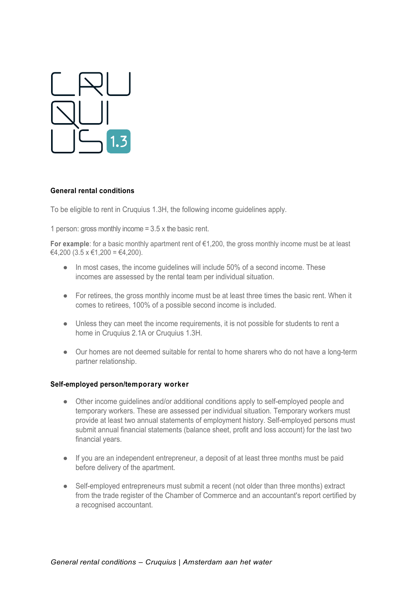

#### **General rental conditions**

To be eligible to rent in Cruquius 1.3H, the following income guidelines apply.

1 person: gross monthly income  $= 3.5$  x the basic rent.

**For example**: for a basic monthly apartment rent of €1,200, the gross monthly income must be at least €4,200 (3.5 x €1,200 = €4,200).

- In most cases, the income quidelines will include 50% of a second income. These incomes are assessed by the rental team per individual situation.
- For retirees, the gross monthly income must be at least three times the basic rent. When it comes to retirees, 100% of a possible second income is included.
- Unless they can meet the income requirements, it is not possible for students to rent a home in Cruquius 2.1A or Cruquius 1.3H.
- Our homes are not deemed suitable for rental to home sharers who do not have a long-term partner relationship.

#### **Self-employed person/temporary worker**

- Other income guidelines and/or additional conditions apply to self-employed people and temporary workers. These are assessed per individual situation. Temporary workers must provide at least two annual statements of employment history. Self-employed persons must submit annual financial statements (balance sheet, profit and loss account) for the last two financial years.
- If you are an independent entrepreneur, a deposit of at least three months must be paid before delivery of the apartment.
- Self-employed entrepreneurs must submit a recent (not older than three months) extract from the trade register of the Chamber of Commerce and an accountant's report certified by a recognised accountant.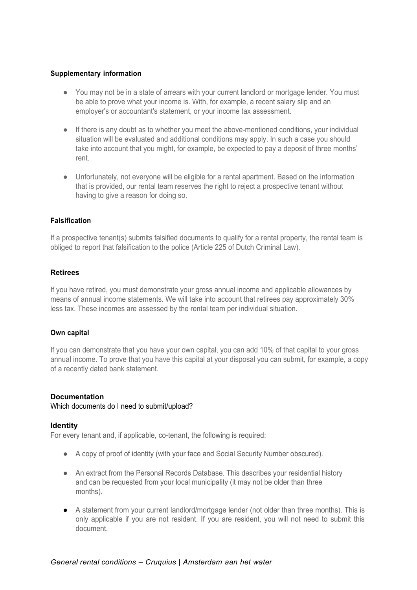## **Supplementary information**

- You may not be in a state of arrears with your current landlord or mortgage lender. You must be able to prove what your income is. With, for example, a recent salary slip and an employer's or accountant's statement, or your income tax assessment.
- If there is any doubt as to whether you meet the above-mentioned conditions, your individual situation will be evaluated and additional conditions may apply. In such a case you should take into account that you might, for example, be expected to pay a deposit of three months' rent.
- Unfortunately, not everyone will be eligible for a rental apartment. Based on the information that is provided, our rental team reserves the right to reject a prospective tenant without having to give a reason for doing so.

## **Falsification**

If a prospective tenant(s) submits falsified documents to qualify for a rental property, the rental team is obliged to report that falsification to the police (Article 225 of Dutch Criminal Law).

#### **Retirees**

If you have retired, you must demonstrate your gross annual income and applicable allowances by means of annual income statements. We will take into account that retirees pay approximately 30% less tax. These incomes are assessed by the rental team per individual situation.

#### **Own capital**

If you can demonstrate that you have your own capital, you can add 10% of that capital to your gross annual income. To prove that you have this capital at your disposal you can submit, for example, a copy of a recently dated bank statement.

#### **Documentation**

Which documents do I need to submit/upload?

#### **Identity**

For every tenant and, if applicable, co-tenant, the following is required:

- A copy of proof of identity (with your face and Social Security Number obscured).
- An extract from the Personal Records Database. This describes your residential history and can be requested from your local municipality (it may not be older than three months).
- A statement from your current landlord/mortgage lender (not older than three months). This is only applicable if you are not resident. If you are resident, you will not need to submit this document.